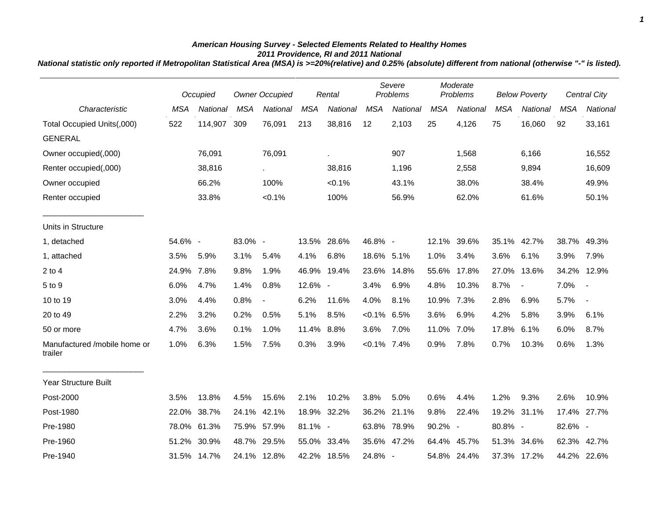## *American Housing Survey - Selected Elements Related to Healthy Homes 2011 Providence, RI and 2011 National*

*National statistic only reported if Metropolitan Statistical Area (MSA) is >=20%(relative) and 0.25% (absolute) different from national (otherwise "-" is listed).*

|                                         |            | Occupied    | <b>Owner Occupied</b> |                          | Rental     |             | Severe<br>Problems |             | Moderate<br>Problems |             | <b>Below Poverty</b> |                |            | Central City             |
|-----------------------------------------|------------|-------------|-----------------------|--------------------------|------------|-------------|--------------------|-------------|----------------------|-------------|----------------------|----------------|------------|--------------------------|
| Characteristic                          | <b>MSA</b> | National    | <b>MSA</b>            | <b>National</b>          | <b>MSA</b> | National    | <b>MSA</b>         | National    | <b>MSA</b>           | National    | <b>MSA</b>           | National       | <b>MSA</b> | National                 |
| Total Occupied Units(,000)              | 522        | 114,907     | 309                   | 76,091                   | 213        | 38,816      | 12                 | 2,103       | 25                   | 4,126       | 75                   | 16,060         | 92         | 33,161                   |
| <b>GENERAL</b>                          |            |             |                       |                          |            |             |                    |             |                      |             |                      |                |            |                          |
| Owner occupied(,000)                    |            | 76,091      |                       | 76,091                   |            | à.          |                    | 907         |                      | 1,568       |                      | 6,166          |            | 16,552                   |
| Renter occupied(,000)                   |            | 38,816      |                       |                          |            | 38,816      |                    | 1,196       |                      | 2,558       |                      | 9,894          |            | 16,609                   |
| Owner occupied                          |            | 66.2%       |                       | 100%                     |            | $< 0.1\%$   |                    | 43.1%       |                      | 38.0%       |                      | 38.4%          |            | 49.9%                    |
| Renter occupied                         |            | 33.8%       |                       | $< 0.1\%$                |            | 100%        |                    | 56.9%       |                      | 62.0%       |                      | 61.6%          |            | 50.1%                    |
| Units in Structure                      |            |             |                       |                          |            |             |                    |             |                      |             |                      |                |            |                          |
| 1, detached                             | 54.6% -    |             | 83.0% -               |                          |            | 13.5% 28.6% | 46.8% -            |             | 12.1%                | 39.6%       |                      | 35.1% 42.7%    | 38.7%      | 49.3%                    |
| 1, attached                             | 3.5%       | 5.9%        | 3.1%                  | 5.4%                     | 4.1%       | 6.8%        | 18.6% 5.1%         |             | 1.0%                 | 3.4%        | 3.6%                 | 6.1%           | 3.9%       | 7.9%                     |
| $2$ to $4$                              | 24.9%      | 7.8%        | 9.8%                  | 1.9%                     |            | 46.9% 19.4% | 23.6%              | 14.8%       | 55.6%                | 17.8%       | 27.0%                | 13.6%          | 34.2%      | 12.9%                    |
| 5 to 9                                  | 6.0%       | 4.7%        | 1.4%                  | 0.8%                     | $12.6\%$ - |             | 3.4%               | 6.9%        | 4.8%                 | 10.3%       | 8.7%                 | $\blacksquare$ | 7.0%       | $\overline{\phantom{a}}$ |
| 10 to 19                                | 3.0%       | 4.4%        | 0.8%                  | $\overline{\phantom{a}}$ | 6.2%       | 11.6%       | 4.0%               | 8.1%        | 10.9%                | 7.3%        | 2.8%                 | 6.9%           | 5.7%       | $\blacksquare$           |
| 20 to 49                                | 2.2%       | 3.2%        | 0.2%                  | 0.5%                     | 5.1%       | 8.5%        | $< 0.1\%$ 6.5%     |             | 3.6%                 | 6.9%        | 4.2%                 | 5.8%           | 3.9%       | 6.1%                     |
| 50 or more                              | 4.7%       | 3.6%        | 0.1%                  | 1.0%                     | 11.4%      | $8.8\%$     | 3.6%               | 7.0%        | 11.0%                | 7.0%        | 17.8%                | 6.1%           | 6.0%       | 8.7%                     |
| Manufactured /mobile home or<br>trailer | 1.0%       | 6.3%        | 1.5%                  | 7.5%                     | 0.3%       | 3.9%        | $< 0.1\%$ 7.4%     |             | 0.9%                 | 7.8%        | 0.7%                 | 10.3%          | 0.6%       | 1.3%                     |
| <b>Year Structure Built</b>             |            |             |                       |                          |            |             |                    |             |                      |             |                      |                |            |                          |
| Post-2000                               | 3.5%       | 13.8%       | 4.5%                  | 15.6%                    | 2.1%       | 10.2%       | 3.8%               | 5.0%        | 0.6%                 | 4.4%        | 1.2%                 | 9.3%           | 2.6%       | 10.9%                    |
| Post-1980                               | 22.0%      | 38.7%       | 24.1%                 | 42.1%                    | 18.9%      | 32.2%       | 36.2%              | 21.1%       | 9.8%                 | 22.4%       |                      | 19.2% 31.1%    | 17.4%      | 27.7%                    |
| Pre-1980                                | 78.0%      | 61.3%       |                       | 75.9% 57.9%              | 81.1% -    |             |                    | 63.8% 78.9% | 90.2% -              |             | 80.8% -              |                | 82.6% -    |                          |
| Pre-1960                                | 51.2%      | 30.9%       |                       | 48.7% 29.5%              |            | 55.0% 33.4% |                    | 35.6% 47.2% | 64.4%                | 45.7%       |                      | 51.3% 34.6%    | 62.3%      | 42.7%                    |
| Pre-1940                                |            | 31.5% 14.7% |                       | 24.1% 12.8%              |            | 42.2% 18.5% | 24.8% -            |             |                      | 54.8% 24.4% |                      | 37.3% 17.2%    |            | 44.2% 22.6%              |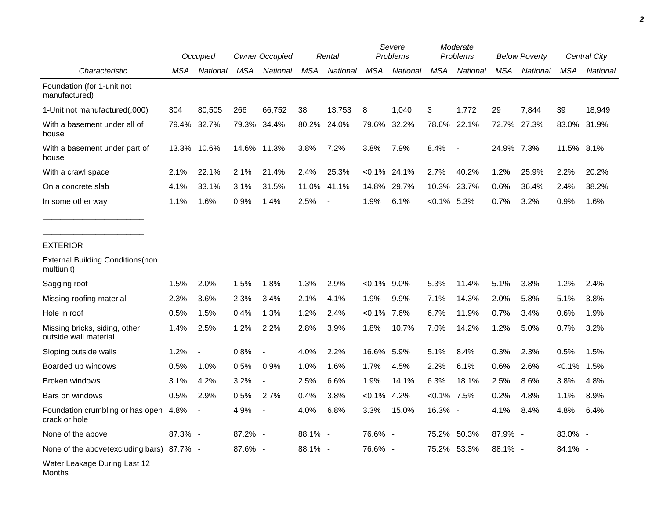|                                                        |         | Occupied                 |         | <b>Owner Occupied</b>    |         | Rental                   |               | Severe<br>Problems |                | Moderate<br>Problems |         | <b>Below Poverty</b> |            | Central City |
|--------------------------------------------------------|---------|--------------------------|---------|--------------------------|---------|--------------------------|---------------|--------------------|----------------|----------------------|---------|----------------------|------------|--------------|
| Characteristic                                         | MSA     | National                 | MSA     | National                 | MSA     | National                 | <b>MSA</b>    | National           | <b>MSA</b>     | National             | MSA     | National             | MSA        | National     |
| Foundation (for 1-unit not<br>manufactured)            |         |                          |         |                          |         |                          |               |                    |                |                      |         |                      |            |              |
| 1-Unit not manufactured(,000)                          | 304     | 80,505                   | 266     | 66,752                   | 38      | 13,753                   | 8             | 1,040              | 3              | 1,772                | 29      | 7,844                | 39         | 18,949       |
| With a basement under all of<br>house                  | 79.4%   | 32.7%                    | 79.3%   | 34.4%                    | 80.2%   | 24.0%                    | 79.6%         | 32.2%              | 78.6%          | 22.1%                | 72.7%   | 27.3%                | 83.0%      | 31.9%        |
| With a basement under part of<br>house                 | 13.3%   | 10.6%                    | 14.6%   | 11.3%                    | 3.8%    | 7.2%                     | 3.8%          | 7.9%               | 8.4%           |                      | 24.9%   | 7.3%                 | 11.5% 8.1% |              |
| With a crawl space                                     | 2.1%    | 22.1%                    | 2.1%    | 21.4%                    | 2.4%    | 25.3%                    |               | $< 0.1\%$ 24.1%    | 2.7%           | 40.2%                | 1.2%    | 25.9%                | 2.2%       | 20.2%        |
| On a concrete slab                                     | 4.1%    | 33.1%                    | 3.1%    | 31.5%                    | 11.0%   | 41.1%                    | 14.8%         | 29.7%              | 10.3%          | 23.7%                | 0.6%    | 36.4%                | 2.4%       | 38.2%        |
| In some other way                                      | 1.1%    | 1.6%                     | 0.9%    | 1.4%                     | 2.5%    | $\overline{\phantom{a}}$ | 1.9%          | 6.1%               | $< 0.1\%$ 5.3% |                      | 0.7%    | 3.2%                 | 0.9%       | 1.6%         |
|                                                        |         |                          |         |                          |         |                          |               |                    |                |                      |         |                      |            |              |
| <b>EXTERIOR</b>                                        |         |                          |         |                          |         |                          |               |                    |                |                      |         |                      |            |              |
| <b>External Building Conditions (non</b><br>multiunit) |         |                          |         |                          |         |                          |               |                    |                |                      |         |                      |            |              |
| Sagging roof                                           | 1.5%    | 2.0%                     | 1.5%    | 1.8%                     | 1.3%    | 2.9%                     | $<0.1\%$ 9.0% |                    | 5.3%           | 11.4%                | 5.1%    | 3.8%                 | 1.2%       | 2.4%         |
| Missing roofing material                               | 2.3%    | 3.6%                     | 2.3%    | 3.4%                     | 2.1%    | 4.1%                     | 1.9%          | 9.9%               | 7.1%           | 14.3%                | 2.0%    | 5.8%                 | 5.1%       | 3.8%         |
| Hole in roof                                           | 0.5%    | 1.5%                     | 0.4%    | 1.3%                     | 1.2%    | 2.4%                     | $< 0.1\%$     | 7.6%               | 6.7%           | 11.9%                | 0.7%    | 3.4%                 | 0.6%       | 1.9%         |
| Missing bricks, siding, other<br>outside wall material | 1.4%    | 2.5%                     | 1.2%    | 2.2%                     | 2.8%    | 3.9%                     | 1.8%          | 10.7%              | 7.0%           | 14.2%                | 1.2%    | 5.0%                 | 0.7%       | 3.2%         |
| Sloping outside walls                                  | 1.2%    |                          | 0.8%    | $\overline{a}$           | 4.0%    | 2.2%                     | 16.6%         | 5.9%               | 5.1%           | 8.4%                 | 0.3%    | 2.3%                 | 0.5%       | 1.5%         |
| Boarded up windows                                     | 0.5%    | 1.0%                     | 0.5%    | 0.9%                     | 1.0%    | 1.6%                     | 1.7%          | 4.5%               | 2.2%           | 6.1%                 | 0.6%    | 2.6%                 | < 0.1%     | 1.5%         |
| Broken windows                                         | 3.1%    | 4.2%                     | 3.2%    |                          | 2.5%    | 6.6%                     | 1.9%          | 14.1%              | 6.3%           | 18.1%                | 2.5%    | 8.6%                 | 3.8%       | 4.8%         |
| Bars on windows                                        | 0.5%    | 2.9%                     | 0.5%    | 2.7%                     | 0.4%    | 3.8%                     | $< 0.1\%$     | 4.2%               | $< 0.1\%$      | 7.5%                 | 0.2%    | 4.8%                 | 1.1%       | 8.9%         |
| Foundation crumbling or has open<br>crack or hole      | 4.8%    | $\overline{\phantom{a}}$ | 4.9%    | $\overline{\phantom{a}}$ | 4.0%    | 6.8%                     | 3.3%          | 15.0%              | 16.3% -        |                      | 4.1%    | 8.4%                 | 4.8%       | 6.4%         |
| None of the above                                      | 87.3% - |                          | 87.2% - |                          | 88.1% - |                          | 76.6% -       |                    | 75.2%          | 50.3%                | 87.9% - |                      | 83.0% -    |              |
| None of the above(excluding bars) 87.7% -              |         |                          | 87.6% - |                          | 88.1% - |                          | 76.6% -       |                    | 75.2%          | 53.3%                | 88.1% - |                      | 84.1% -    |              |
| Water Leakage During Last 12                           |         |                          |         |                          |         |                          |               |                    |                |                      |         |                      |            |              |

Months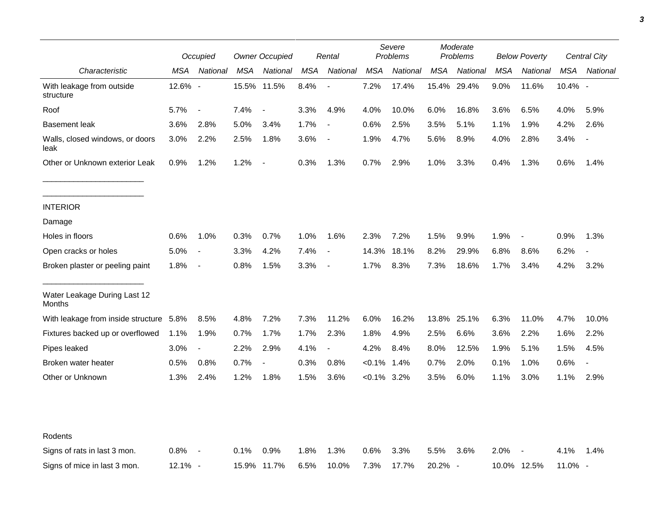|                                         | Occupied |                          | <b>Owner Occupied</b> |                          | Rental |                          | Severe<br>Problems |          | Moderate<br>Problems |             | <b>Below Poverty</b> |                          | <b>Central City</b> |                |
|-----------------------------------------|----------|--------------------------|-----------------------|--------------------------|--------|--------------------------|--------------------|----------|----------------------|-------------|----------------------|--------------------------|---------------------|----------------|
| Characteristic                          | MSA      | National                 | MSA                   | National                 | MSA    | National                 | MSA                | National | MSA                  | National    | MSA                  | National                 | MSA                 | National       |
| With leakage from outside<br>structure  | 12.6% -  |                          |                       | 15.5% 11.5%              | 8.4%   |                          | 7.2%               | 17.4%    |                      | 15.4% 29.4% | 9.0%                 | 11.6%                    | 10.4% -             |                |
| Roof                                    | 5.7%     | $\overline{\phantom{a}}$ | 7.4%                  | $\overline{\phantom{a}}$ | 3.3%   | 4.9%                     | 4.0%               | 10.0%    | 6.0%                 | 16.8%       | 3.6%                 | 6.5%                     | 4.0%                | 5.9%           |
| <b>Basement leak</b>                    | 3.6%     | 2.8%                     | 5.0%                  | 3.4%                     | 1.7%   | $\sim$                   | 0.6%               | 2.5%     | 3.5%                 | 5.1%        | 1.1%                 | 1.9%                     | 4.2%                | 2.6%           |
| Walls, closed windows, or doors<br>leak | 3.0%     | 2.2%                     | 2.5%                  | 1.8%                     | 3.6%   | $\overline{\phantom{a}}$ | 1.9%               | 4.7%     | 5.6%                 | 8.9%        | 4.0%                 | 2.8%                     | 3.4%                |                |
| Other or Unknown exterior Leak          | 0.9%     | 1.2%                     | 1.2%                  | $\overline{\phantom{a}}$ | 0.3%   | 1.3%                     | 0.7%               | 2.9%     | 1.0%                 | 3.3%        | 0.4%                 | 1.3%                     | 0.6%                | 1.4%           |
| <b>INTERIOR</b>                         |          |                          |                       |                          |        |                          |                    |          |                      |             |                      |                          |                     |                |
| Damage                                  |          |                          |                       |                          |        |                          |                    |          |                      |             |                      |                          |                     |                |
| Holes in floors                         | 0.6%     | 1.0%                     | 0.3%                  | 0.7%                     | 1.0%   | 1.6%                     | 2.3%               | 7.2%     | 1.5%                 | 9.9%        | 1.9%                 | $\overline{\phantom{a}}$ | 0.9%                | 1.3%           |
| Open cracks or holes                    | 5.0%     | $\blacksquare$           | 3.3%                  | 4.2%                     | 7.4%   | $\blacksquare$           | 14.3%              | 18.1%    | 8.2%                 | 29.9%       | 6.8%                 | 8.6%                     | 6.2%                |                |
| Broken plaster or peeling paint         | 1.8%     | $\blacksquare$           | 0.8%                  | 1.5%                     | 3.3%   | $\overline{\phantom{a}}$ | 1.7%               | 8.3%     | 7.3%                 | 18.6%       | 1.7%                 | 3.4%                     | 4.2%                | 3.2%           |
| Water Leakage During Last 12<br>Months  |          |                          |                       |                          |        |                          |                    |          |                      |             |                      |                          |                     |                |
| With leakage from inside structure 5.8% |          | 8.5%                     | 4.8%                  | 7.2%                     | 7.3%   | 11.2%                    | 6.0%               | 16.2%    |                      | 13.8% 25.1% | 6.3%                 | 11.0%                    | 4.7%                | 10.0%          |
| Fixtures backed up or overflowed        | 1.1%     | 1.9%                     | 0.7%                  | 1.7%                     | 1.7%   | 2.3%                     | 1.8%               | 4.9%     | 2.5%                 | 6.6%        | 3.6%                 | 2.2%                     | 1.6%                | 2.2%           |
| Pipes leaked                            | 3.0%     | $\blacksquare$           | 2.2%                  | 2.9%                     | 4.1%   |                          | 4.2%               | 8.4%     | 8.0%                 | 12.5%       | 1.9%                 | 5.1%                     | 1.5%                | 4.5%           |
| Broken water heater                     | 0.5%     | 0.8%                     | 0.7%                  | $\overline{a}$           | 0.3%   | 0.8%                     | $< 0.1\%$          | 1.4%     | 0.7%                 | 2.0%        | 0.1%                 | 1.0%                     | 0.6%                | $\overline{a}$ |
| Other or Unknown                        | 1.3%     | 2.4%                     | 1.2%                  | 1.8%                     | 1.5%   | 3.6%                     | $< 0.1\%$ 3.2%     |          | 3.5%                 | 6.0%        | 1.1%                 | 3.0%                     | 1.1%                | 2.9%           |
| Rodents                                 |          |                          |                       |                          |        |                          |                    |          |                      |             |                      |                          |                     |                |
| Signs of rats in last 3 mon.            | 0.8%     | $\overline{\phantom{a}}$ | 0.1%                  | 0.9%                     | 1.8%   | 1.3%                     | 0.6%               | 3.3%     | 5.5%                 | 3.6%        | 2.0%                 |                          | 4.1%                | 1.4%           |
| Signs of mice in last 3 mon.            | 12.1% -  |                          |                       | 15.9% 11.7%              | 6.5%   | 10.0%                    | 7.3%               | 17.7%    | 20.2% -              |             | 10.0% 12.5%          |                          | 11.0% -             |                |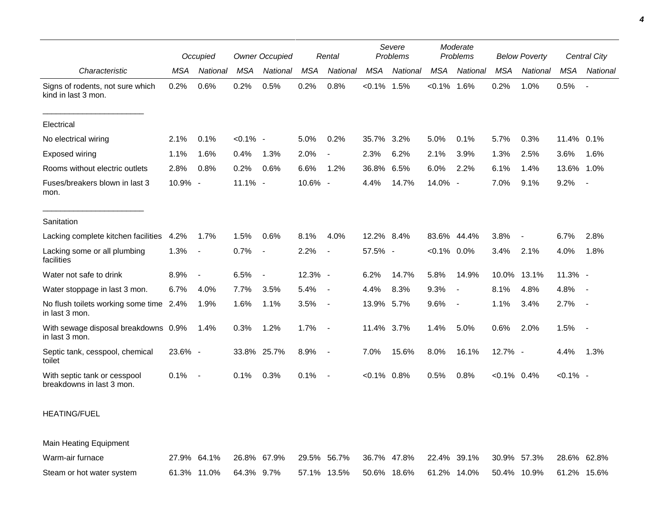|                                                           |            | Occupied                 | <b>Owner Occupied</b> |          | Rental     |                          | Severe<br>Problems |          | Moderate<br>Problems |                          | <b>Below Poverty</b> |          | Central City |                          |
|-----------------------------------------------------------|------------|--------------------------|-----------------------|----------|------------|--------------------------|--------------------|----------|----------------------|--------------------------|----------------------|----------|--------------|--------------------------|
| Characteristic                                            | <b>MSA</b> | <b>National</b>          | <b>MSA</b>            | National | <b>MSA</b> | National                 | <b>MSA</b>         | National | <b>MSA</b>           | National                 | <b>MSA</b>           | National | MSA          | National                 |
| Signs of rodents, not sure which<br>kind in last 3 mon.   | 0.2%       | 0.6%                     | 0.2%                  | 0.5%     | 0.2%       | 0.8%                     | $< 0.1\%$          | 1.5%     | $< 0.1\%$ 1.6%       |                          | 0.2%                 | 1.0%     | 0.5%         | $\overline{\phantom{a}}$ |
| Electrical                                                |            |                          |                       |          |            |                          |                    |          |                      |                          |                      |          |              |                          |
| No electrical wiring                                      | 2.1%       | 0.1%                     | $< 0.1\%$ -           |          | 5.0%       | 0.2%                     | 35.7%              | 3.2%     | 5.0%                 | 0.1%                     | 5.7%                 | 0.3%     | 11.4%        | 0.1%                     |
| <b>Exposed wiring</b>                                     | 1.1%       | 1.6%                     | 0.4%                  | 1.3%     | 2.0%       |                          | 2.3%               | 6.2%     | 2.1%                 | 3.9%                     | 1.3%                 | 2.5%     | 3.6%         | 1.6%                     |
| Rooms without electric outlets                            | 2.8%       | 0.8%                     | 0.2%                  | 0.6%     | 6.6%       | 1.2%                     | 36.8%              | 6.5%     | 6.0%                 | 2.2%                     | 6.1%                 | 1.4%     | 13.6%        | 1.0%                     |
| Fuses/breakers blown in last 3<br>mon.                    | 10.9% -    |                          | 11.1% -               |          | 10.6% -    |                          | 4.4%               | 14.7%    | 14.0% -              |                          | 7.0%                 | 9.1%     | 9.2%         | $\blacksquare$           |
| Sanitation                                                |            |                          |                       |          |            |                          |                    |          |                      |                          |                      |          |              |                          |
| Lacking complete kitchen facilities                       | 4.2%       | 1.7%                     | 1.5%                  | 0.6%     | 8.1%       | 4.0%                     | 12.2% 8.4%         |          | 83.6% 44.4%          |                          | 3.8%                 |          | 6.7%         | 2.8%                     |
| Lacking some or all plumbing<br>facilities                | 1.3%       | $\overline{\phantom{a}}$ | 0.7%                  | $\sim$   | 2.2%       |                          | 57.5% -            |          | $< 0.1\%$ 0.0%       |                          | 3.4%                 | 2.1%     | 4.0%         | 1.8%                     |
| Water not safe to drink                                   | 8.9%       | $\overline{\phantom{a}}$ | 6.5%                  | $\sim$   | 12.3% -    |                          | 6.2%               | 14.7%    | 5.8%                 | 14.9%                    | 10.0%                | 13.1%    | $11.3%$ -    |                          |
| Water stoppage in last 3 mon.                             | 6.7%       | 4.0%                     | 7.7%                  | 3.5%     | 5.4%       | $\blacksquare$           | 4.4%               | 8.3%     | 9.3%                 |                          | 8.1%                 | 4.8%     | 4.8%         | $\sim$                   |
| No flush toilets working some time 2.4%<br>in last 3 mon. |            | 1.9%                     | 1.6%                  | 1.1%     | 3.5%       | $\overline{\phantom{a}}$ | 13.9% 5.7%         |          | 9.6%                 | $\overline{\phantom{a}}$ | 1.1%                 | 3.4%     | 2.7%         | $\sim$                   |
| With sewage disposal breakdowns 0.9%<br>in last 3 mon.    |            | 1.4%                     | 0.3%                  | 1.2%     | 1.7%       | $\overline{\phantom{a}}$ | 11.4% 3.7%         |          | 1.4%                 | 5.0%                     | 0.6%                 | 2.0%     | 1.5%         | $\sim$                   |
| Septic tank, cesspool, chemical<br>toilet                 | 23.6% -    |                          | 33.8%                 | 25.7%    | 8.9%       | $\overline{\phantom{a}}$ | 7.0%               | 15.6%    | 8.0%                 | 16.1%                    | 12.7% -              |          | 4.4%         | 1.3%                     |
| With septic tank or cesspool<br>breakdowns in last 3 mon. | 0.1%       | $\overline{\phantom{a}}$ | 0.1%                  | 0.3%     | 0.1%       |                          | $< 0.1\%$          | 0.8%     | 0.5%                 | 0.8%                     | $< 0.1\%$ 0.4%       |          | $< 0.1\%$ -  |                          |

HEATING/FUEL

Main Heating Equipment

| Warm-air furnace          |                        | 27.9% 64.1% 26.8% 67.9% 29.5% 56.7% 36.7% 47.8% 22.4% 39.1% 30.9% 57.3% 28.6% 62.8% |  |  |  |                                                                 |  |
|---------------------------|------------------------|-------------------------------------------------------------------------------------|--|--|--|-----------------------------------------------------------------|--|
| Steam or hot water system | 61.3% 11.0% 64.3% 9.7% |                                                                                     |  |  |  | 57.1% 13.5%  50.6% 18.6%  61.2% 14.0%  50.4% 10.9%  61.2% 15.6% |  |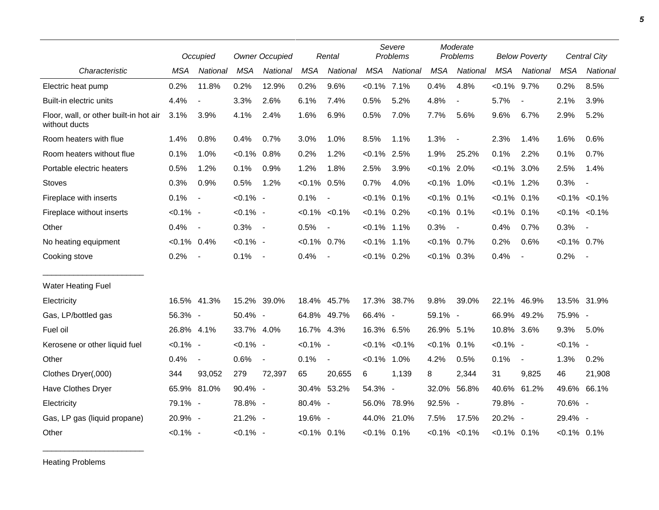|                                                         |                | Occupied                 |                | <b>Owner Occupied</b>    |                | Rental              |                | Severe<br>Problems       |                | Moderate<br>Problems     |                | <b>Below Poverty</b> |                | <b>Central City</b> |
|---------------------------------------------------------|----------------|--------------------------|----------------|--------------------------|----------------|---------------------|----------------|--------------------------|----------------|--------------------------|----------------|----------------------|----------------|---------------------|
| Characteristic                                          | <b>MSA</b>     | National                 | <b>MSA</b>     | National                 | <b>MSA</b>     | National            | <b>MSA</b>     | National                 | <b>MSA</b>     | National                 | <b>MSA</b>     | National             | <b>MSA</b>     | National            |
| Electric heat pump                                      | 0.2%           | 11.8%                    | 0.2%           | 12.9%                    | 0.2%           | 9.6%                | $< 0.1\%$ 7.1% |                          | 0.4%           | 4.8%                     | $< 0.1\%$ 9.7% |                      | 0.2%           | 8.5%                |
| Built-in electric units                                 | 4.4%           | $\overline{\phantom{a}}$ | 3.3%           | 2.6%                     | 6.1%           | 7.4%                | 0.5%           | 5.2%                     | 4.8%           | $\blacksquare$           | 5.7%           |                      | 2.1%           | 3.9%                |
| Floor, wall, or other built-in hot air<br>without ducts | 3.1%           | 3.9%                     | 4.1%           | 2.4%                     | 1.6%           | 6.9%                | 0.5%           | 7.0%                     | 7.7%           | 5.6%                     | 9.6%           | 6.7%                 | 2.9%           | 5.2%                |
| Room heaters with flue                                  | 1.4%           | 0.8%                     | 0.4%           | 0.7%                     | 3.0%           | 1.0%                | 8.5%           | 1.1%                     | 1.3%           | $\blacksquare$           | 2.3%           | 1.4%                 | 1.6%           | 0.6%                |
| Room heaters without flue                               | 0.1%           | 1.0%                     | $< 0.1\%$ 0.8% |                          | 0.2%           | 1.2%                | $< 0.1\%$ 2.5% |                          | 1.9%           | 25.2%                    | 0.1%           | 2.2%                 | 0.1%           | 0.7%                |
| Portable electric heaters                               | 0.5%           | 1.2%                     | 0.1%           | 0.9%                     | 1.2%           | 1.8%                | 2.5%           | 3.9%                     | $< 0.1\%$ 2.0% |                          | $< 0.1\%$ 3.0% |                      | 2.5%           | 1.4%                |
| <b>Stoves</b>                                           | 0.3%           | 0.9%                     | 0.5%           | 1.2%                     | $< 0.1\%$ 0.5% |                     | 0.7%           | 4.0%                     | $< 0.1\%$ 1.0% |                          | $< 0.1\%$      | 1.2%                 | 0.3%           | $\blacksquare$      |
| Fireplace with inserts                                  | 0.1%           | $\blacksquare$           | $< 0.1\%$ -    |                          | 0.1%           | $\blacksquare$      | $< 0.1\%$ 0.1% |                          | $< 0.1\%$      | 0.1%                     | $< 0.1\%$ 0.1% |                      |                | $< 0.1\%$ $< 0.1\%$ |
| Fireplace without inserts                               | $< 0.1\%$ -    |                          | $< 0.1\%$ -    |                          |                | $< 0.1\%$ $< 0.1\%$ | $< 0.1\%$ 0.2% |                          | $< 0.1\%$ 0.1% |                          | $< 0.1\%$      | 0.1%                 |                | $< 0.1\%$ $< 0.1\%$ |
| Other                                                   | 0.4%           | $\overline{\phantom{a}}$ | 0.3%           | $\sim$ $-$               | 0.5%           |                     | $< 0.1\%$ 1.1% |                          | 0.3%           | $\overline{\phantom{a}}$ | 0.4%           | 0.7%                 | 0.3%           | $\sim$              |
| No heating equipment                                    | $< 0.1\%$ 0.4% |                          | $< 0.1\%$ -    |                          | $< 0.1\%$ 0.7% |                     | $< 0.1\%$ 1.1% |                          | $< 0.1\%$      | 0.7%                     | 0.2%           | 0.6%                 | $< 0.1\%$ 0.7% |                     |
| Cooking stove                                           | 0.2%           | $\overline{\phantom{a}}$ | 0.1%           | $\overline{\phantom{a}}$ | 0.4%           | $\blacksquare$      | $< 0.1\%$ 0.2% |                          | $<0.1\%$ 0.3%  |                          | 0.4%           | $\blacksquare$       | 0.2%           | $\sim$ $-$          |
| Water Heating Fuel                                      |                |                          |                |                          |                |                     |                |                          |                |                          |                |                      |                |                     |
| Electricity                                             |                | 16.5% 41.3%              | 15.2% 39.0%    |                          |                | 18.4% 45.7%         |                | 17.3% 38.7%              | 9.8%           | 39.0%                    | 22.1%          | 46.9%                |                | 13.5% 31.9%         |
| Gas, LP/bottled gas                                     | 56.3% -        |                          | 50.4% -        |                          |                | 64.8% 49.7%         | 66.4% -        |                          | 59.1% -        |                          |                | 66.9% 49.2%          | 75.9% -        |                     |
| Fuel oil                                                | 26.8% 4.1%     |                          | 33.7% 4.0%     |                          | 16.7% 4.3%     |                     | 16.3% 6.5%     |                          | 26.9% 5.1%     |                          | 10.8% 3.6%     |                      | 9.3%           | 5.0%                |
| Kerosene or other liquid fuel                           | $< 0.1\%$ -    |                          | $< 0.1\%$ -    |                          | $< 0.1\%$ -    |                     |                | $< 0.1\%$ $< 0.1\%$      | $< 0.1\%$      | 0.1%                     | $< 0.1\%$ -    |                      | $< 0.1\%$ -    |                     |
| Other                                                   | 0.4%           | $\blacksquare$           | 0.6%           | $\overline{\phantom{a}}$ | 0.1%           | $\blacksquare$      | $< 0.1\%$ 1.0% |                          | 4.2%           | 0.5%                     | 0.1%           | $\blacksquare$       | 1.3%           | 0.2%                |
| Clothes Dryer(,000)                                     | 344            | 93,052                   | 279            | 72,397                   | 65             | 20,655              | 6              | 1,139                    | 8              | 2,344                    | 31             | 9,825                | 46             | 21,908              |
| Have Clothes Dryer                                      |                | 65.9% 81.0%              | 90.4% -        |                          |                | 30.4% 53.2%         | 54.3%          | $\overline{\phantom{a}}$ | 32.0%          | 56.8%                    |                | 40.6% 61.2%          | 49.6% 66.1%    |                     |
| Electricity                                             | 79.1% -        |                          | 78.8% -        |                          | 80.4% -        |                     | 56.0%          | 78.9%                    | 92.5% -        |                          | 79.8% -        |                      | 70.6% -        |                     |
| Gas, LP gas (liquid propane)                            | 20.9% -        |                          | 21.2% -        |                          | 19.6% -        |                     | 44.0%          | 21.0%                    | 7.5%           | 17.5%                    | 20.2% -        |                      | 29.4% -        |                     |
| Other                                                   | $< 0.1\%$ -    |                          | $< 0.1\%$ -    |                          | $< 0.1\%$ 0.1% |                     | $< 0.1\%$ 0.1% |                          |                | $< 0.1\%$ $< 0.1\%$      | $< 0.1\%$ 0.1% |                      | $< 0.1\%$ 0.1% |                     |

Heating Problems

\_\_\_\_\_\_\_\_\_\_\_\_\_\_\_\_\_\_\_\_\_\_\_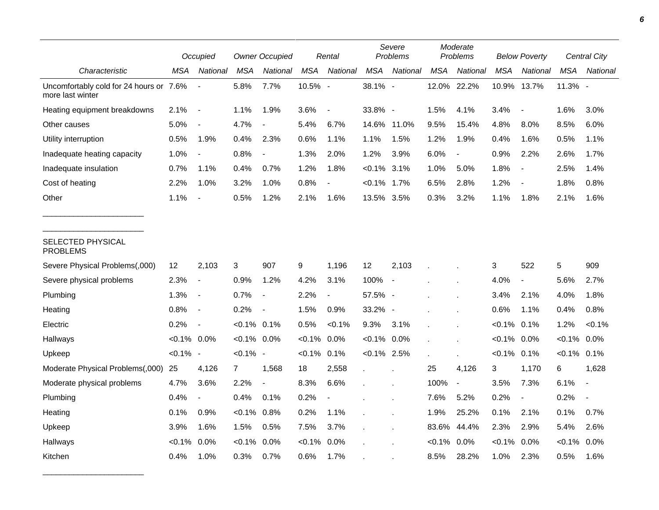|                                                             |                | Occupied                 |                | <b>Owner Occupied</b>    |            | Rental         |                | Severe<br>Problems       |           | Moderate<br>Problems     |           | <b>Below Poverty</b>     |           | <b>Central City</b> |
|-------------------------------------------------------------|----------------|--------------------------|----------------|--------------------------|------------|----------------|----------------|--------------------------|-----------|--------------------------|-----------|--------------------------|-----------|---------------------|
| Characteristic                                              | MSA            | National                 | MSA            | National                 | <b>MSA</b> | National       | <b>MSA</b>     | National                 | MSA       | National                 | MSA       | <b>National</b>          | MSA       | National            |
| Uncomfortably cold for 24 hours or 7.6%<br>more last winter |                |                          | 5.8%           | 7.7%                     | 10.5% -    |                | 38.1% -        |                          | 12.0%     | 22.2%                    | 10.9%     | 13.7%                    | 11.3% -   |                     |
| Heating equipment breakdowns                                | 2.1%           | $\overline{\phantom{a}}$ | 1.1%           | 1.9%                     | 3.6%       | $\blacksquare$ | 33.8% -        |                          | 1.5%      | 4.1%                     | 3.4%      | $\overline{\phantom{a}}$ | 1.6%      | 3.0%                |
| Other causes                                                | 5.0%           | $\overline{\phantom{a}}$ | 4.7%           |                          | 5.4%       | 6.7%           | 14.6%          | 11.0%                    | 9.5%      | 15.4%                    | 4.8%      | 8.0%                     | 8.5%      | 6.0%                |
| Utility interruption                                        | 0.5%           | 1.9%                     | 0.4%           | 2.3%                     | 0.6%       | 1.1%           | 1.1%           | 1.5%                     | 1.2%      | 1.9%                     | 0.4%      | 1.6%                     | 0.5%      | 1.1%                |
| Inadequate heating capacity                                 | 1.0%           | $\overline{\phantom{a}}$ | 0.8%           | $\blacksquare$           | 1.3%       | 2.0%           | 1.2%           | 3.9%                     | 6.0%      | $\overline{\phantom{a}}$ | 0.9%      | 2.2%                     | 2.6%      | 1.7%                |
| Inadequate insulation                                       | 0.7%           | 1.1%                     | 0.4%           | 0.7%                     | 1.2%       | 1.8%           | $<0.1\%$       | 3.1%                     | 1.0%      | 5.0%                     | 1.8%      | $\overline{\phantom{a}}$ | 2.5%      | 1.4%                |
| Cost of heating                                             | 2.2%           | 1.0%                     | 3.2%           | 1.0%                     | 0.8%       |                | $< 0.1\%$ 1.7% |                          | 6.5%      | 2.8%                     | 1.2%      |                          | 1.8%      | 0.8%                |
| Other                                                       | 1.1%           | $\overline{\phantom{a}}$ | 0.5%           | 1.2%                     | 2.1%       | 1.6%           | 13.5% 3.5%     |                          | 0.3%      | 3.2%                     | 1.1%      | 1.8%                     | 2.1%      | 1.6%                |
| SELECTED PHYSICAL<br><b>PROBLEMS</b>                        |                |                          |                |                          |            |                |                |                          |           |                          |           |                          |           |                     |
| Severe Physical Problems(,000)                              | 12             | 2,103                    | 3              | 907                      | 9          | 1,196          | 12             | 2,103                    |           |                          | 3         | 522                      | 5         | 909                 |
| Severe physical problems                                    | 2.3%           | $\overline{\phantom{a}}$ | 0.9%           | 1.2%                     | 4.2%       | 3.1%           | 100%           | $\overline{\phantom{a}}$ |           |                          | 4.0%      | $\overline{\phantom{a}}$ | 5.6%      | 2.7%                |
| Plumbing                                                    | 1.3%           | $\overline{\phantom{a}}$ | 0.7%           | $\blacksquare$           | 2.2%       | $\overline{a}$ | 57.5% -        |                          |           |                          | 3.4%      | 2.1%                     | 4.0%      | 1.8%                |
| Heating                                                     | 0.8%           | $\overline{\phantom{a}}$ | 0.2%           | $\overline{\phantom{a}}$ | 1.5%       | 0.9%           | 33.2% -        |                          |           |                          | 0.6%      | 1.1%                     | 0.4%      | 0.8%                |
| Electric                                                    | 0.2%           | $\overline{\phantom{a}}$ | $< 0.1\%$ 0.1% |                          | 0.5%       | < 0.1%         | 9.3%           | 3.1%                     |           |                          | $< 0.1\%$ | 0.1%                     | 1.2%      | < 0.1%              |
| Hallways                                                    | $< 0.1\%$ 0.0% |                          | $< 0.1\%$ 0.0% |                          | $< 0.1\%$  | 0.0%           | $< 0.1\%$ 0.0% |                          |           |                          | $< 0.1\%$ | 0.0%                     | $< 0.1\%$ | 0.0%                |
| Upkeep                                                      | $< 0.1\%$ -    |                          | $< 0.1\%$ -    |                          | $< 0.1\%$  | 0.1%           | $< 0.1\%$ 2.5% |                          |           |                          | $< 0.1\%$ | 0.1%                     | $< 0.1\%$ | 0.1%                |
| Moderate Physical Problems(,000)                            | 25             | 4,126                    | $\overline{7}$ | 1,568                    | 18         | 2,558          | $\mathbf{r}$   |                          | 25        | 4,126                    | 3         | 1,170                    | 6         | 1,628               |
| Moderate physical problems                                  | 4.7%           | 3.6%                     | 2.2%           | $\overline{\phantom{a}}$ | 8.3%       | 6.6%           |                |                          | 100%      | $\overline{\phantom{a}}$ | 3.5%      | 7.3%                     | 6.1%      | $\overline{a}$      |
| Plumbing                                                    | 0.4%           | $\overline{\phantom{a}}$ | 0.4%           | 0.1%                     | 0.2%       |                |                |                          | 7.6%      | 5.2%                     | 0.2%      | $\overline{\phantom{a}}$ | 0.2%      |                     |
| Heating                                                     | 0.1%           | 0.9%                     | $< 0.1\%$      | 0.8%                     | 0.2%       | 1.1%           |                |                          | 1.9%      | 25.2%                    | 0.1%      | 2.1%                     | 0.1%      | 0.7%                |
| Upkeep                                                      | 3.9%           | 1.6%                     | 1.5%           | 0.5%                     | 7.5%       | 3.7%           |                |                          | 83.6%     | 44.4%                    | 2.3%      | 2.9%                     | 5.4%      | 2.6%                |
| Hallways                                                    | $< 0.1\%$      | 0.0%                     | $< 0.1\%$      | 0.0%                     | $< 0.1\%$  | 0.0%           |                |                          | $< 0.1\%$ | 0.0%                     | $< 0.1\%$ | 0.0%                     | $< 0.1\%$ | 0.0%                |
| Kitchen                                                     | 0.4%           | 1.0%                     | 0.3%           | 0.7%                     | 0.6%       | 1.7%           |                |                          | 8.5%      | 28.2%                    | 1.0%      | 2.3%                     | 0.5%      | 1.6%                |

\_\_\_\_\_\_\_\_\_\_\_\_\_\_\_\_\_\_\_\_\_\_\_